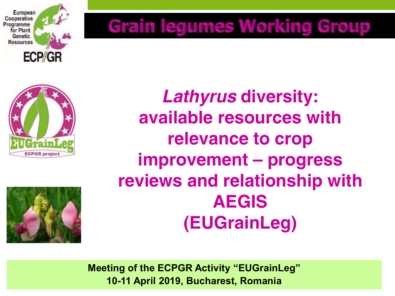

## **Grain legumes Working Group**





*Lathyrus* **diversity: available resources with relevance to crop improvement – progress reviews and relationship with AEGIS (EUGrainLeg)**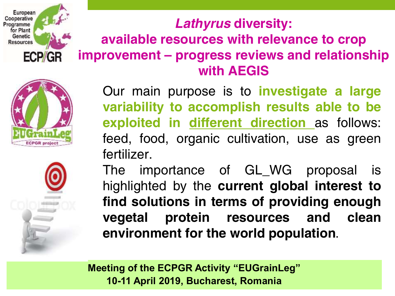## *Lathyrus* **diversity: available resources with relevance to crop improvement – progress reviews and relationship with AEGIS**



ECP/GR

European Cooperative Programme for Plant Genetic Resources



The importance of GL\_WG proposal is highlighted by the **current global interest to find solutions in terms of providing enough vegetal protein resources and clean environment for the world population.**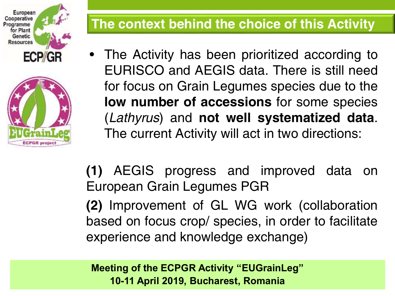#### **The context behind the choice of this Activity**

European Cooperative Programme for Plant Genetic Resources

ECP/GR

**ECPGR** project

• The Activity has been prioritized according to EURISCO and AEGIS data. There is still need for focus on Grain Legumes species due to the **low number of accessions** for some species (*Lathyrus*) and **not well systematized data**. The current Activity will act in two directions:

**(1)** AEGIS progress and improved data on European Grain Legumes PGR **(2)** Improvement of GL WG work (collaboration based on focus crop/ species, in order to facilitate experience and knowledge exchange)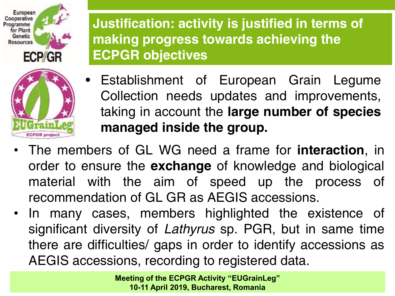

## **Justification: activity is justified in terms of making progress towards achieving the ECPGR objectives**

- Establishment of European Grain Legume Collection needs updates and improvements, taking in account the **large number of species managed inside the group.**
- The members of GL WG need a frame for **interaction**, in order to ensure the **exchange** of knowledge and biological material with the aim of speed up the process of recommendation of GL GR as AEGIS accessions.
- In many cases, members highlighted the existence of significant diversity of *Lathyrus* sp. PGR, but in same time there are difficulties/ gaps in order to identify accessions as AEGIS accessions, recording to registered data.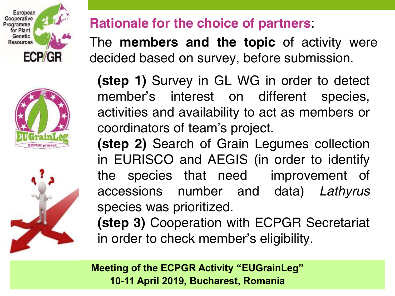





### **Rationale for the choice of partners**:

The **members and the topic** of activity were decided based on survey, before submission.

**(step 1)** Survey in GL WG in order to detect member's interest on different species, activities and availability to act as members or coordinators of team's project.

**(step 2)** Search of Grain Legumes collection in EURISCO and AEGIS (in order to identify the species that need improvement of accessions number and data) *Lathyrus* species was prioritized.

**(step 3)** Cooperation with ECPGR Secretariat in order to check member's eligibility.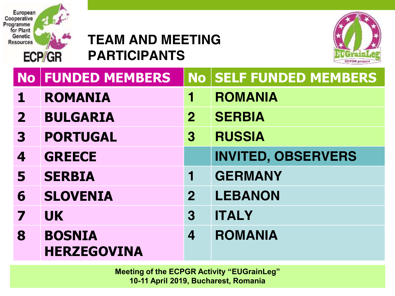

## **TEAM AND MEETING PARTICIPANTS**



| <b>No</b>      | <b>FUNDED MEMBERS</b>               | <b>No</b>      | <b>SELF FUNDED MEMBERS</b> |
|----------------|-------------------------------------|----------------|----------------------------|
| 1              | <b>ROMANIA</b>                      | 1              | <b>ROMANIA</b>             |
| $\overline{2}$ | <b>BULGARIA</b>                     | 2 <sup>1</sup> | <b>SERBIA</b>              |
| 3              | <b>PORTUGAL</b>                     | $\bf{3}$       | <b>RUSSIA</b>              |
| 4              | <b>GREECE</b>                       |                | <b>INVITED, OBSERVERS</b>  |
| 5              | <b>SERBIA</b>                       | 1              | <b>GERMANY</b>             |
| 6              | <b>SLOVENIA</b>                     | 2 <sub>1</sub> | <b>LEBANON</b>             |
|                | <b>UK</b>                           | $\overline{3}$ | <b>ITALY</b>               |
| 8              | <b>BOSNIA</b><br><b>HERZEGOVINA</b> | 4              | <b>ROMANIA</b>             |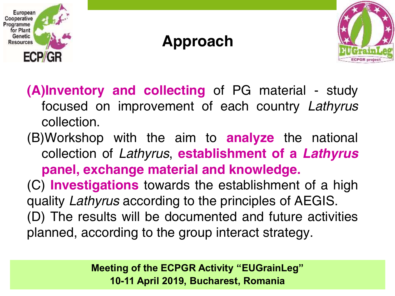

## **Approach**



**(A)Inventory and collecting** of PG material - study focused on improvement of each country *Lathyrus* collection.

(B)Workshop with the aim to **analyze** the national collection of *Lathyrus*, **establishment of a** *Lathyrus* **panel, exchange material and knowledge.**

(C) **Investigations** towards the establishment of a high quality *Lathyrus* according to the principles of AEGIS. (D) The results will be documented and future activities planned, according to the group interact strategy.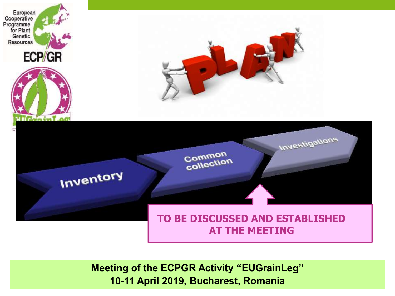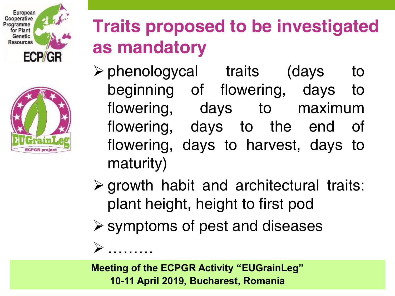



## **Traits proposed to be investigated as mandatory**

- $\triangleright$  phenologycal traits (days to beginning of flowering, days to flowering, days to maximum flowering, days to the end of flowering, days to harvest, days to maturity)
- $\triangleright$  growth habit and architectural traits: plant height, height to first pod
- $\triangleright$  symptoms of pest and diseases

**Meeting of the ECPGR Activity "EUGrainLeg" 10-11 April 2019, Bucharest, Romania**

………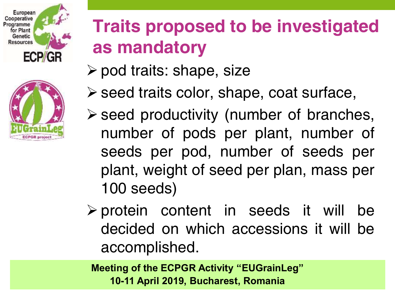



## **Traits proposed to be investigated as mandatory**

- $\triangleright$  pod traits: shape, size
- $\triangleright$  seed traits color, shape, coat surface,
- $\triangleright$  seed productivity (number of branches, number of pods per plant, number of seeds per pod, number of seeds per plant, weight of seed per plan, mass per 100 seeds)
- $\triangleright$  protein content in seeds it will be decided on which accessions it will be accomplished.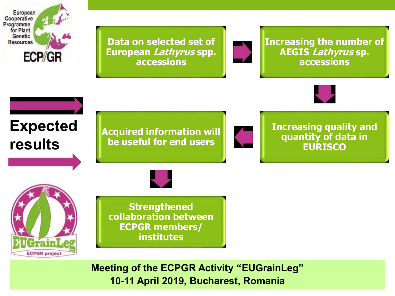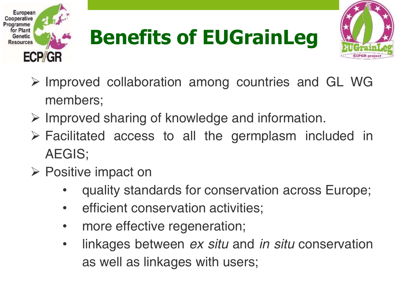



- $\triangleright$  Improved collaboration among countries and GL WG members;
- $\triangleright$  Improved sharing of knowledge and information.
- $\triangleright$  Facilitated access to all the germplasm included in AEGIS;
- **▶ Positive impact on** 
	- quality standards for conservation across Europe;
	- efficient conservation activities;
	- more effective regeneration;
	- linkages between *ex situ* and *in situ* conservation as well as linkages with users;